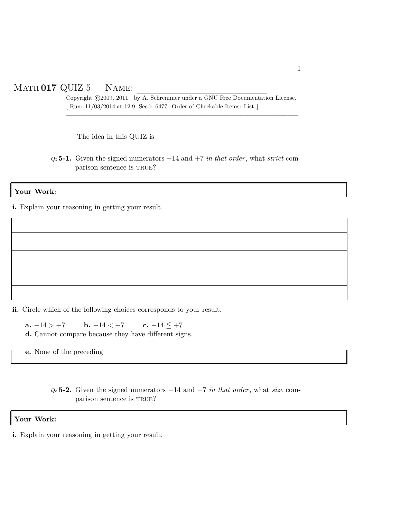## Math **017** QUIZ 5 Name:

Copyright ©2009, 2011 by A. Schremmer under a GNU Free Documentation License. [ Run: 11/03/2014 at 12:9 Seed: 6477. Order of Checkable Items: List.]

————————————————————————————————–

The idea in this QUIZ is

*Qz* **5-1.** Given the signed numerators −14 and +7 *in that order*, what *strict* comparison sentence is TRUE?

## **Your Work:**

**i.** Explain your reasoning in getting your result.

**ii.** Circle which of the following choices corresponds to your result.

**a.**  $-14 > +7$  **b.**  $-14 < +7$  **c.**  $-14 \leq +7$ **d.** Cannot compare because they have different signs.

**e.** None of the preceding

*Qz* **5-2.** Given the signed numerators −14 and +7 *in that order*, what *size* comparison sentence is TRUE?

## **Your Work:**

**i.** Explain your reasoning in getting your result.